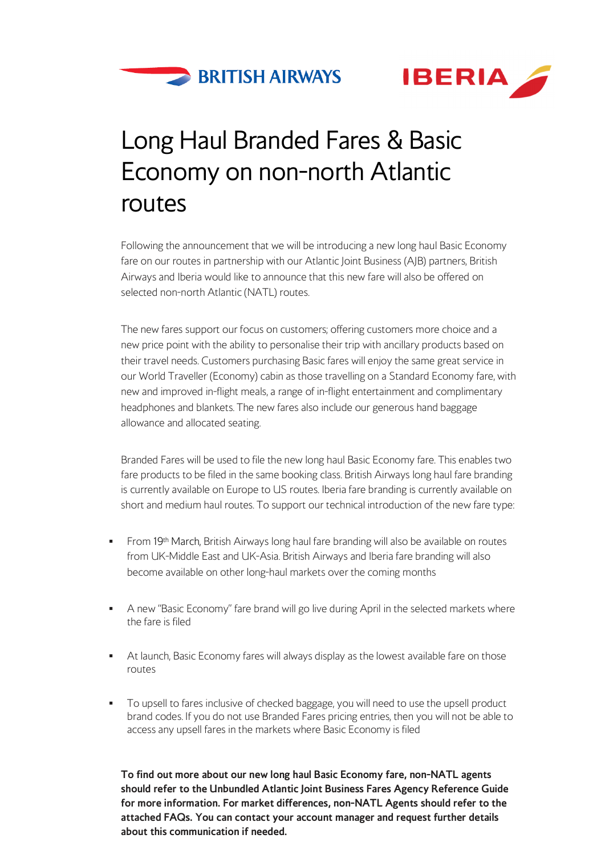



### Long Haul Branded Fares & Basic Economy on non-north Atlantic routes

Following the announcement that we will be introducing a new long haul Basic Economy fare on our routes in partnership with our Atlantic Joint Business (AJB) partners, British Airways and Iberia would like to announce that this new fare will also be offered on selected non-north Atlantic (NATL) routes.

The new fares support our focus on customers; offering customers more choice and a new price point with the ability to personalise their trip with ancillary products based on their travel needs. Customers purchasing Basic fares will enjoy the same great service in our World Traveller (Economy) cabin as those travelling on a Standard Economy fare, with new and improved in-flight meals, a range of in-flight entertainment and complimentary headphones and blankets. The new fares also include our generous hand baggage allowance and allocated seating.

Branded Fares will be used to file the new long haul Basic Economy fare. This enables two fare products to be filed in the same booking class. British Airways long haul fare branding is currently available on Europe to US routes. Iberia fare branding is currently available on short and medium haul routes. To support our technical introduction of the new fare type:

- **From 19th March, British Airways long haul fare branding will also be available on routes** from UK-Middle East and UK-Asia. British Airways and Iberia fare branding will also become available on other long-haul markets over the coming months
- A new "Basic Economy" fare brand will go live during April in the selected markets where the fare is filed
- At launch, Basic Economy fares will always display as the lowest available fare on those routes
- To upsell to fares inclusive of checked baggage, you will need to use the upsell product brand codes. If you do not use Branded Fares pricing entries, then you will not be able to access any upsell fares in the markets where Basic Economy is filed

**To find out more about our new long haul Basic Economy fare, non-NATL agents should refer to the Unbundled Atlantic Joint Business Fares Agency Reference Guide for more information. For market differences, non-NATL Agents should refer to the attached FAQs. You can contact your account manager and request further details about this communication if needed.**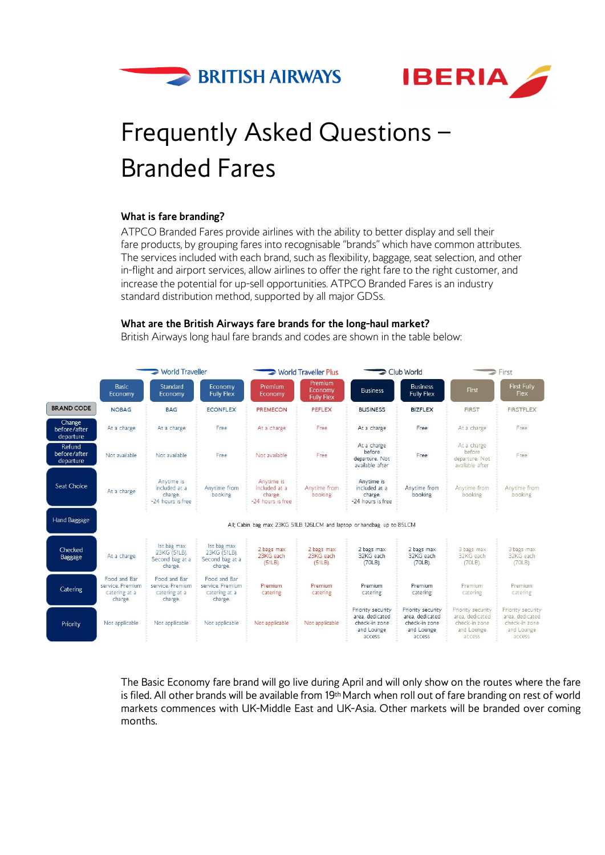



# Frequently Asked Questions – Branded Fares

#### **What is fare branding?**

ATPCO Branded Fares provide airlines with the ability to better display and sell their fare products, by grouping fares into recognisable "brands" which have common attributes. The services included with each brand, such as flexibility, baggage, seat selection, and other in-flight and airport services, allow airlines to offer the right fare to the right customer, and increase the potential for up-sell opportunities. ATPCO Branded Fares is an industry standard distribution method, supported by all major GDSs.

#### **What are the British Airways fare brands for the long-haul market?**

British Airways long haul fare brands and codes are shown in the table below:



The Basic Economy fare brand will go live during April and will only show on the routes where the fare is filed. All other brands will be available from 19th March when roll out of fare branding on rest of world markets commences with UK-Middle East and UK-Asia. Other markets will be branded over coming months.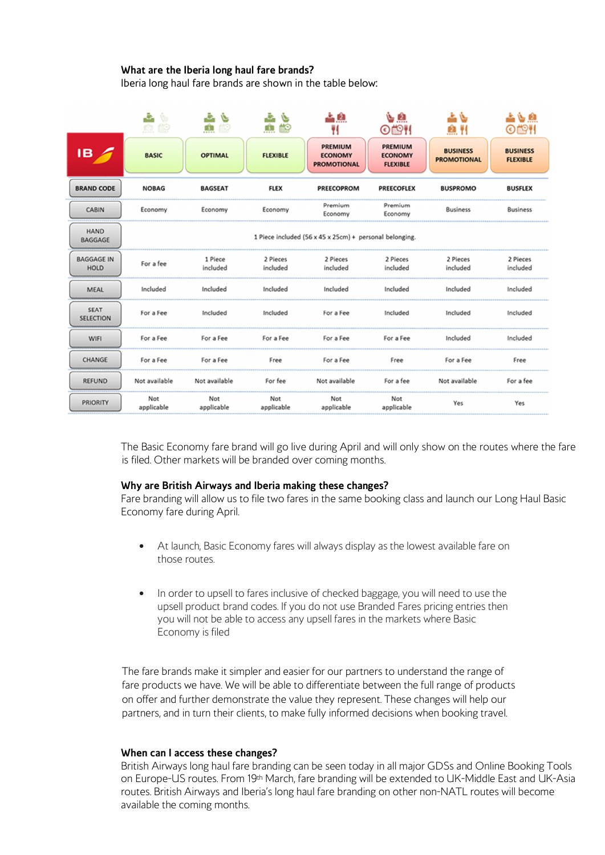### **What are the Iberia long haul fare brands?**

Iberia long haul fare brands are shown in the table below:

|                                  | ÷,<br>Ŷ.<br>血鹼    | J.<br>يخ<br>m<br>齡  | a.<br>يخا<br>齡<br>Ĥ  | 스 오<br>Ħ                                                | یون<br>OËH                                          | ی ہے<br><u>м и</u>                    | 上心血<br>OËH                         |
|----------------------------------|-------------------|---------------------|----------------------|---------------------------------------------------------|-----------------------------------------------------|---------------------------------------|------------------------------------|
| IB.                              | <b>BASIC</b>      | <b>OPTIMAL</b>      | <b>FLEXIBLE</b>      | <b>PREMIUM</b><br><b>ECONOMY</b><br><b>PROMOTIONAL</b>  | <b>PREMIUM</b><br><b>ECONOMY</b><br><b>FLEXIBLE</b> | <b>BUSINESS</b><br><b>PROMOTIONAL</b> | <b>BUSINESS</b><br><b>FLEXIBLE</b> |
| <b>BRAND CODE</b>                | <b>NOBAG</b>      | <b>BAGSEAT</b>      | <b>FLEX</b>          | <b>PREECOPROM</b>                                       | <b>PREECOFLEX</b>                                   | <b>BUSPROMO</b>                       | <b>BUSFLEX</b>                     |
| <b>CABIN</b>                     | Economy           | Economy             | Economy              | Premium<br>Economy                                      | Premium<br>Economy                                  | <b>Business</b>                       | <b>Business</b>                    |
| <b>HAND</b><br><b>BAGGAGE</b>    |                   |                     |                      | 1 Piece included (56 x 45 x 25cm) + personal belonging. |                                                     |                                       |                                    |
| <b>BAGGAGE IN</b><br><b>HOLD</b> | For a fee         | 1 Piece<br>included | 2 Pieces<br>included | 2 Pieces<br>included                                    | 2 Pieces<br>included                                | 2 Pieces<br>included                  | 2 Pieces<br>included               |
| <b>MEAL</b>                      | Included          | Included            | Included             | Included                                                | Included                                            | Included                              | Included                           |
| <b>SEAT</b><br><b>SELECTION</b>  | For a Fee         | Included            | Included             | For a Fee                                               | Included                                            | Included                              | Included                           |
| WIFI                             | For a Fee         | For a Fee           | For a Fee            | For a Fee                                               | For a Fee                                           | Included                              | Included                           |
| CHANGE                           | For a Fee         | For a Fee           | Free                 | For a Fee                                               | Free                                                | For a Fee                             | Free                               |
| <b>REFUND</b>                    | Not available     | Not available       | For fee              | Not available                                           | For a fee                                           | Not available                         | For a fee                          |
| <b>PRIORITY</b>                  | Not<br>applicable | Not<br>applicable   | Not<br>applicable    | Not<br>applicable                                       | Not<br>applicable                                   | Yes                                   | Yes                                |

The Basic Economy fare brand will go live during April and will only show on the routes where the fare is filed. Other markets will be branded over coming months.

#### **Why are British Airways and Iberia making these changes?**

Fare branding will allow us to file two fares in the same booking class and launch our Long Haul Basic Economy fare during April.

- At launch, Basic Economy fares will always display as the lowest available fare on those routes.
- In order to upsell to fares inclusive of checked baggage, you will need to use the upsell product brand codes. If you do not use Branded Fares pricing entries then you will not be able to access any upsell fares in the markets where Basic Economy is filed

The fare brands make it simpler and easier for our partners to understand the range of fare products we have. We will be able to differentiate between the full range of products on offer and further demonstrate the value they represent. These changes will help our partners, and in turn their clients, to make fully informed decisions when booking travel.

#### **When can I access these changes?**

British Airways long haul fare branding can be seen today in all major GDSs and Online Booking Tools on Europe-US routes. From 19<sup>th</sup> March, fare branding will be extended to UK-Middle East and UK-Asia routes. British Airways and Iberia's long haul fare branding on other non-NATL routes will become available the coming months.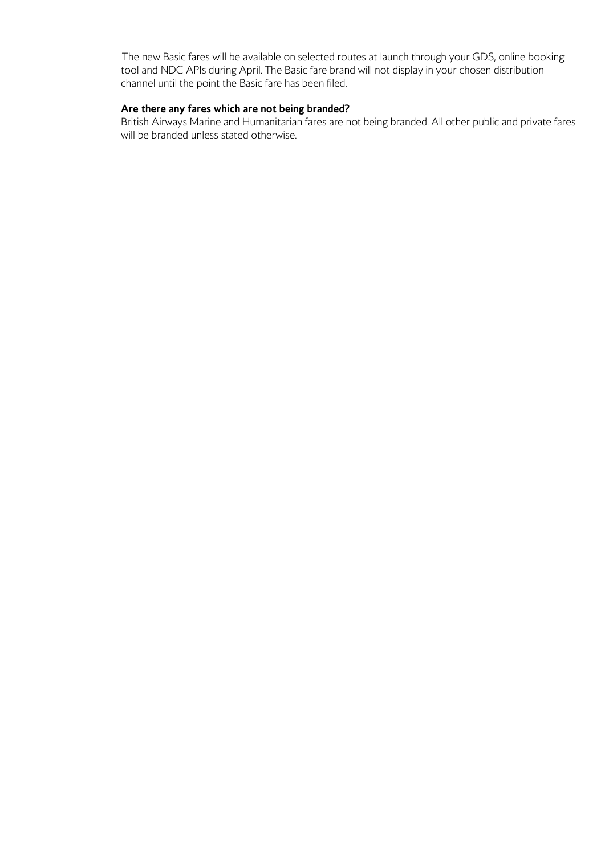The new Basic fares will be available on selected routes at launch through your GDS, online booking tool and NDC APIs during April. The Basic fare brand will not display in your chosen distribution channel until the point the Basic fare has been filed.

#### **Are there any fares which are not being branded?**

British Airways Marine and Humanitarian fares are not being branded. All other public and private fares will be branded unless stated otherwise.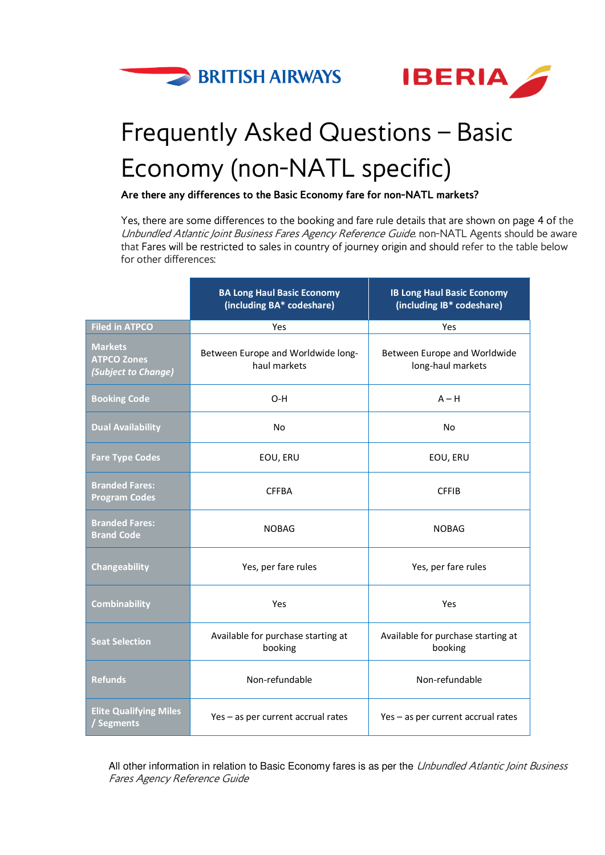



# Frequently Asked Questions – Basic Economy (non-NATL specific)

**Are there any differences to the Basic Economy fare for non-NATL markets?** 

Yes, there are some differences to the booking and fare rule details that are shown on page 4 of the Unbundled Atlantic Joint Business Fares Agency Reference Guide. non-NATL Agents should be aware that Fares will be restricted to sales in country of journey origin and should refer to the table below for other differences:

|                                                             | <b>BA Long Haul Basic Economy</b><br>(including BA* codeshare) | <b>IB Long Haul Basic Economy</b><br>(including IB* codeshare) |  |
|-------------------------------------------------------------|----------------------------------------------------------------|----------------------------------------------------------------|--|
| <b>Filed in ATPCO</b>                                       | Yes                                                            | Yes                                                            |  |
| <b>Markets</b><br><b>ATPCO Zones</b><br>(Subject to Change) | Between Europe and Worldwide long-<br>haul markets             | Between Europe and Worldwide<br>long-haul markets              |  |
| <b>Booking Code</b>                                         | $O-H$                                                          | $A - H$                                                        |  |
| <b>Dual Availability</b>                                    | No                                                             | <b>No</b>                                                      |  |
| <b>Fare Type Codes</b>                                      | EOU, ERU                                                       | EOU, ERU                                                       |  |
| <b>Branded Fares:</b><br><b>Program Codes</b>               | <b>CFFBA</b>                                                   | <b>CFFIB</b>                                                   |  |
| <b>Branded Fares:</b><br><b>Brand Code</b>                  | <b>NOBAG</b>                                                   | <b>NOBAG</b>                                                   |  |
| Changeability                                               | Yes, per fare rules                                            | Yes, per fare rules                                            |  |
| Combinability                                               | Yes                                                            | Yes                                                            |  |
| <b>Seat Selection</b>                                       | Available for purchase starting at<br>booking                  | Available for purchase starting at<br>booking                  |  |
| <b>Refunds</b>                                              | Non-refundable                                                 | Non-refundable                                                 |  |
| <b>Elite Qualifying Miles</b><br>Segments                   | Yes - as per current accrual rates                             | Yes - as per current accrual rates                             |  |

All other information in relation to Basic Economy fares is as per the Unbundled Atlantic Joint Business Fares Agency Reference Guide